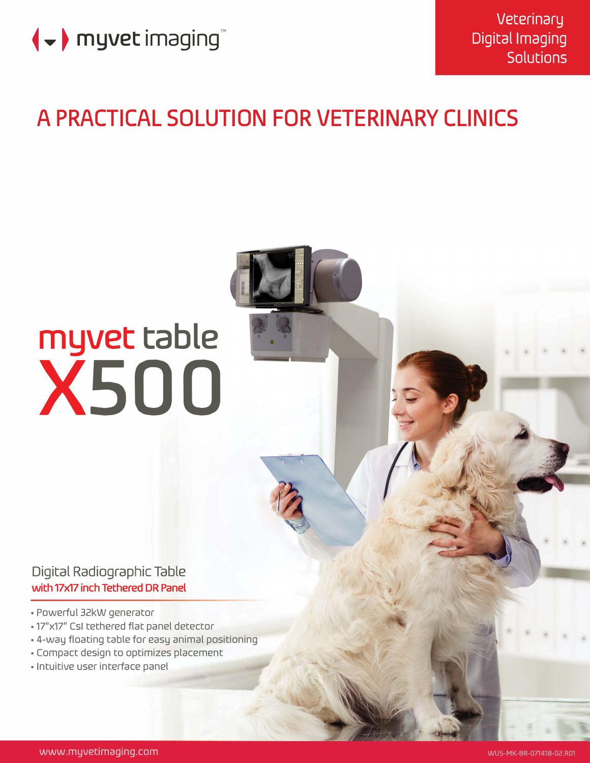

# **A PRACTICAL SOLUTION FOR VETERINARY CLINICS**

# **myvet table xsoo**

Digital Radiographic Table with 17x17 inch Tethered DR Panel

- Powerful 32kW generator
- 17"x17" Csl tethered flat panel detector
- 4-way floating table for easy animal positioning
- Compact design to optimizes placement
- Intuitive user interface panel